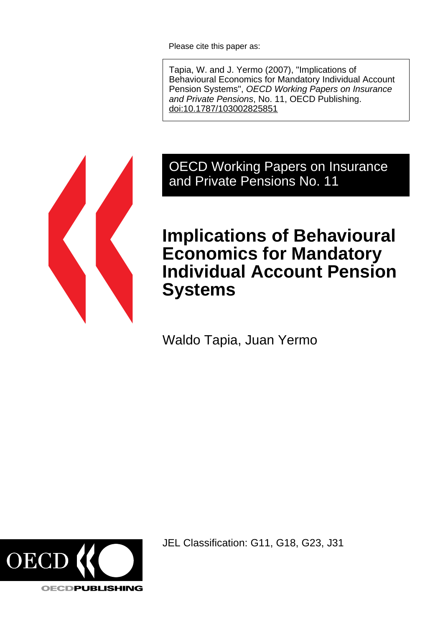Please cite this paper as:

Tapia, W. and J. Yermo (2007), "Implications of Behavioural Economics for Mandatory Individual Account Pension Systems", OECD Working Papers on Insurance and Private Pensions, No. 11, OECD Publishing. [doi:10.1787/103002825851](http://dx.doi.org/10.1787/103002825851)



OECD Working Papers on Insurance and Private Pensions No. 11

# **Implications of Behavioural Economics for Mandatory Individual Account Pension Systems**

Waldo Tapia, Juan Yermo



JEL Classification: G11, G18, G23, J31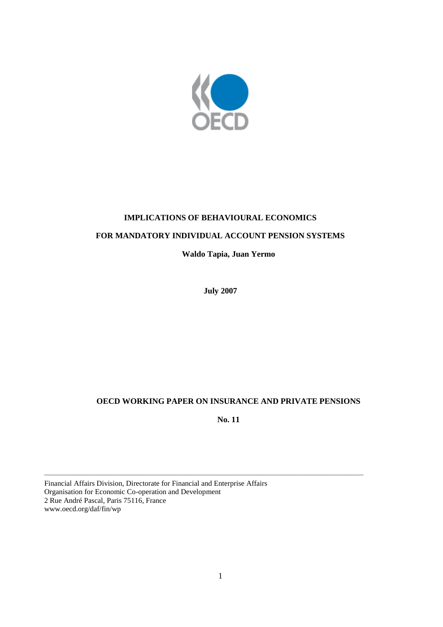

# **IMPLICATIONS OF BEHAVIOURAL ECONOMICS FOR MANDATORY INDIVIDUAL ACCOUNT PENSION SYSTEMS**

**Waldo Tapia, Juan Yermo**

**July 2007**

# **OECD WORKING PAPER ON INSURANCE AND PRIVATE PENSIONS**

**No. 11**

———————————————————————————————————————

Financial Affairs Division, Directorate for Financial and Enterprise Affairs Organisation for Economic Co-operation and Development 2 Rue André Pascal, Paris 75116, France [www.oecd.org/daf/fin/wp](http://www.oecd.org/daf/fin/wp)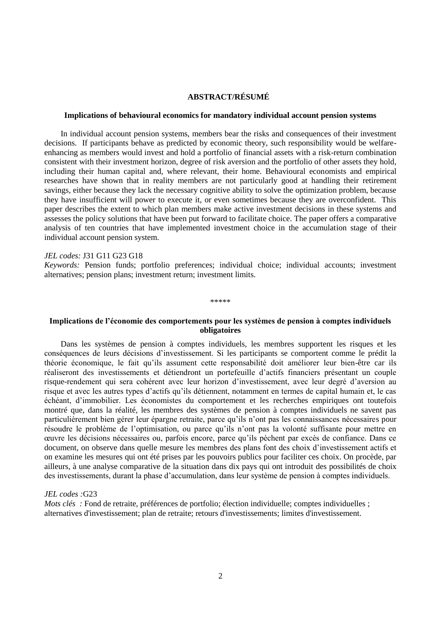# **ABSTRACT/RÉSUMÉ**

#### **Implications of behavioural economics for mandatory individual account pension systems**

In individual account pension systems, members bear the risks and consequences of their investment decisions. If participants behave as predicted by economic theory, such responsibility would be welfareenhancing as members would invest and hold a portfolio of financial assets with a risk-return combination consistent with their investment horizon, degree of risk aversion and the portfolio of other assets they hold, including their human capital and, where relevant, their home. Behavioural economists and empirical researches have shown that in reality members are not particularly good at handling their retirement savings, either because they lack the necessary cognitive ability to solve the optimization problem, because they have insufficient will power to execute it, or even sometimes because they are overconfident. This paper describes the extent to which plan members make active investment decisions in these systems and assesses the policy solutions that have been put forward to facilitate choice. The paper offers a comparative analysis of ten countries that have implemented investment choice in the accumulation stage of their individual account pension system.

#### *JEL codes:* J31 G11 G23 G18

*Keywords:* Pension funds; portfolio preferences; individual choice; individual accounts; investment alternatives; pension plans; investment return; investment limits.

\*\*\*\*\*

# **Implications de l'économie des comportements pour les systèmes de pension à comptes individuels obligatoires**

Dans les systèmes de pension à comptes individuels, les membres supportent les risques et les conséquences de leurs décisions d'investissement. Si les participants se comportent comme le prédit la théorie économique, le fait qu'ils assument cette responsabilité doit améliorer leur bien-être car ils réaliseront des investissements et détiendront un portefeuille d'actifs financiers présentant un couple risque-rendement qui sera cohérent avec leur horizon d'investissement, avec leur degré d'aversion au risque et avec les autres types d'actifs qu'ils détiennent, notamment en termes de capital humain et, le cas échéant, d'immobilier. Les économistes du comportement et les recherches empiriques ont toutefois montré que, dans la réalité, les membres des systèmes de pension à comptes individuels ne savent pas particulièrement bien gérer leur épargne retraite, parce qu'ils n'ont pas les connaissances nécessaires pour résoudre le problème de l'optimisation, ou parce qu'ils n'ont pas la volonté suffisante pour mettre en œuvre les décisions nécessaires ou, parfois encore, parce qu'ils pèchent par excès de confiance. Dans ce document, on observe dans quelle mesure les membres des plans font des choix d'investissement actifs et on examine les mesures qui ont été prises par les pouvoirs publics pour faciliter ces choix. On procède, par ailleurs, à une analyse comparative de la situation dans dix pays qui ont introduit des possibilités de choix des investissements, durant la phase d'accumulation, dans leur système de pension à comptes individuels.

# *JEL codes :*G23

*Mots clés*: Fond de retraite, préférences de portfolio; élection individuelle; comptes individuelles ; alternatives d'investissement; plan de retraite; retours d'investissements; limites d'investissement.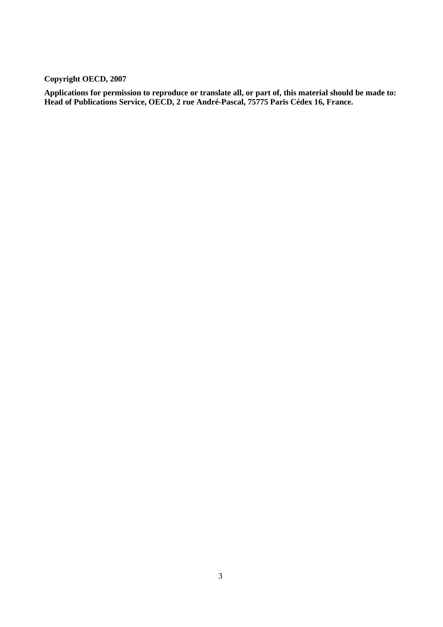**Copyright OECD, 2007**

**Applications for permission to reproduce or translate all, or part of, this material should be made to: Head of Publications Service, OECD, 2 rue André-Pascal, 75775 Paris Cédex 16, France.**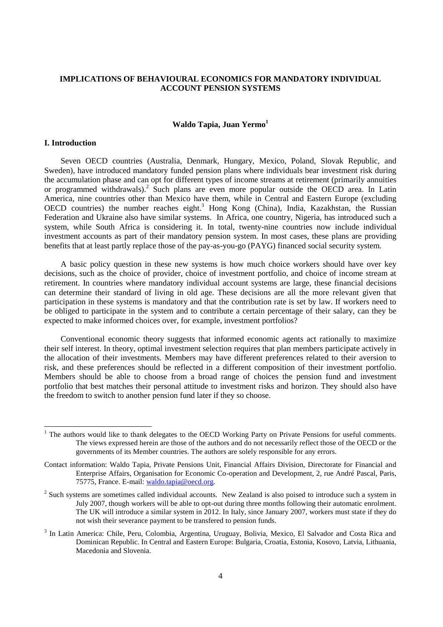# **IMPLICATIONS OF BEHAVIOURAL ECONOMICS FOR MANDATORY INDIVIDUAL ACCOUNT PENSION SYSTEMS**

# **Waldo Tapia, Juan Yermo<sup>1</sup>**

## **I. Introduction**

 $\overline{a}$ 

Seven OECD countries (Australia, Denmark, Hungary, Mexico, Poland, Slovak Republic, and Sweden), have introduced mandatory funded pension plans where individuals bear investment risk during the accumulation phase and can opt for different types of income streams at retirement (primarily annuities or programmed withdrawals).<sup>2</sup> Such plans are even more popular outside the OECD area. In Latin America, nine countries other than Mexico have them, while in Central and Eastern Europe (excluding OECD countries) the number reaches eight.<sup>3</sup> Hong Kong (China), India, Kazakhstan, the Russian Federation and Ukraine also have similar systems. In Africa, one country, Nigeria, has introduced such a system, while South Africa is considering it. In total, twenty-nine countries now include individual investment accounts as part of their mandatory pension system. In most cases, these plans are providing benefits that at least partly replace those of the pay-as-you-go (PAYG) financed social security system.

A basic policy question in these new systems is how much choice workers should have over key decisions, such as the choice of provider, choice of investment portfolio, and choice of income stream at retirement. In countries where mandatory individual account systems are large, these financial decisions can determine their standard of living in old age. These decisions are all the more relevant given that participation in these systems is mandatory and that the contribution rate is set by law. If workers need to be obliged to participate in the system and to contribute a certain percentage of their salary, can they be expected to make informed choices over, for example, investment portfolios?

Conventional economic theory suggests that informed economic agents act rationally to maximize their self interest. In theory, optimal investment selection requires that plan members participate actively in the allocation of their investments. Members may have different preferences related to their aversion to risk, and these preferences should be reflected in a different composition of their investment portfolio. Members should be able to choose from a broad range of choices the pension fund and investment portfolio that best matches their personal attitude to investment risks and horizon. They should also have the freedom to switch to another pension fund later if they so choose.

<sup>&</sup>lt;sup>1</sup> The authors would like to thank delegates to the OECD Working Party on Private Pensions for useful comments. The views expressed herein are those of the authors and do not necessarily reflect those of the OECD or the governments of its Member countries. The authors are solely responsible for any errors.

Contact information: Waldo Tapia, Private Pensions Unit, Financial Affairs Division, Directorate for Financial and Enterprise Affairs, Organisation for Economic Co-operation and Development, 2, rue André Pascal, Paris, 75775, France. E-mail[: waldo.tapia@oecd.org.](mailto:waldo.tapia@oecd.org)

 $2^{2}$  Such systems are sometimes called individual accounts. New Zealand is also poised to introduce such a system in July 2007, though workers will be able to opt-out during three months following their automatic enrolment. The UK will introduce a similar system in 2012. In Italy, since January 2007, workers must state if they do not wish their severance payment to be transfered to pension funds.

<sup>&</sup>lt;sup>3</sup> In Latin America: Chile, Peru, Colombia, Argentina, Uruguay, Bolivia, Mexico, El Salvador and Costa Rica and Dominican Republic. In Central and Eastern Europe: Bulgaria, Croatia, Estonia, Kosovo, Latvia, Lithuania, Macedonia and Slovenia.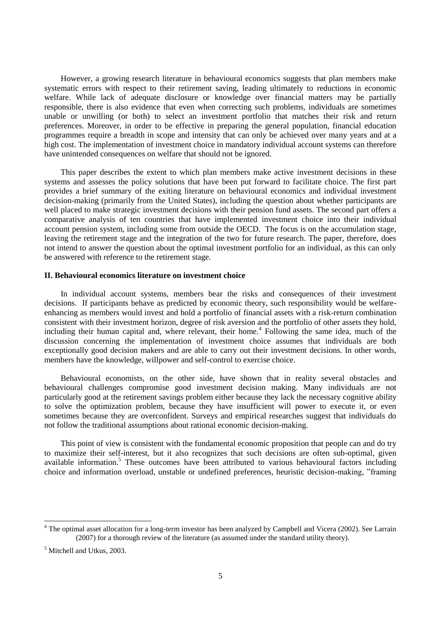However, a growing research literature in behavioural economics suggests that plan members make systematic errors with respect to their retirement saving, leading ultimately to reductions in economic welfare. While lack of adequate disclosure or knowledge over financial matters may be partially responsible, there is also evidence that even when correcting such problems, individuals are sometimes unable or unwilling (or both) to select an investment portfolio that matches their risk and return preferences. Moreover, in order to be effective in preparing the general population, financial education programmes require a breadth in scope and intensity that can only be achieved over many years and at a high cost. The implementation of investment choice in mandatory individual account systems can therefore have unintended consequences on welfare that should not be ignored.

This paper describes the extent to which plan members make active investment decisions in these systems and assesses the policy solutions that have been put forward to facilitate choice. The first part provides a brief summary of the exiting literature on behavioural economics and individual investment decision-making (primarily from the United States), including the question about whether participants are well placed to make strategic investment decisions with their pension fund assets. The second part offers a comparative analysis of ten countries that have implemented investment choice into their individual account pension system, including some from outside the OECD. The focus is on the accumulation stage, leaving the retirement stage and the integration of the two for future research. The paper, therefore, does not intend to answer the question about the optimal investment portfolio for an individual, as this can only be answered with reference to the retirement stage.

#### **II. Behavioural economics literature on investment choice**

In individual account systems, members bear the risks and consequences of their investment decisions. If participants behave as predicted by economic theory, such responsibility would be welfareenhancing as members would invest and hold a portfolio of financial assets with a risk-return combination consistent with their investment horizon, degree of risk aversion and the portfolio of other assets they hold, including their human capital and, where relevant, their home.<sup>4</sup> Following the same idea, much of the discussion concerning the implementation of investment choice assumes that individuals are both exceptionally good decision makers and are able to carry out their investment decisions. In other words, members have the knowledge, willpower and self-control to exercise choice.

Behavioural economists, on the other side, have shown that in reality several obstacles and behavioural challenges compromise good investment decision making. Many individuals are not particularly good at the retirement savings problem either because they lack the necessary cognitive ability to solve the optimization problem, because they have insufficient will power to execute it, or even sometimes because they are overconfident. Surveys and empirical researches suggest that individuals do not follow the traditional assumptions about rational economic decision-making.

This point of view is consistent with the fundamental economic proposition that people can and do try to maximize their self-interest, but it also recognizes that such decisions are often sub-optimal, given available information.<sup>5</sup> These outcomes have been attributed to various behavioural factors including choice and information overload, unstable or undefined preferences, heuristic decision-making, "framing

l

<sup>&</sup>lt;sup>4</sup> The optimal asset allocation for a long-term investor has been analyzed by Campbell and Vicera (2002). See Larrain (2007) for a thorough review of the literature (as assumed under the standard utility theory).

<sup>&</sup>lt;sup>5</sup> Mitchell and Utkus, 2003.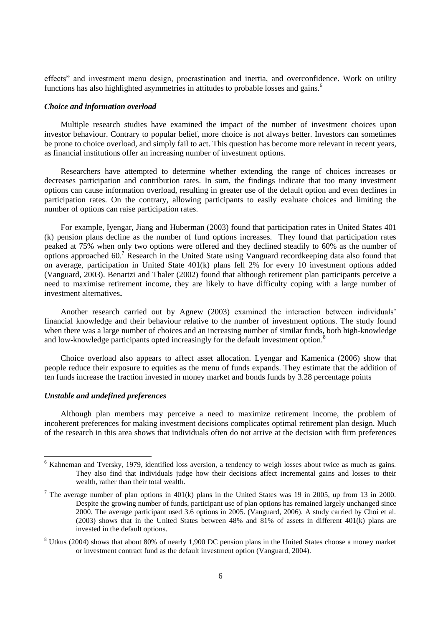effects" and investment menu design, procrastination and inertia, and overconfidence. Work on utility functions has also highlighted asymmetries in attitudes to probable losses and gains.<sup>6</sup>

#### *Choice and information overload*

Multiple research studies have examined the impact of the number of investment choices upon investor behaviour. Contrary to popular belief, more choice is not always better. Investors can sometimes be prone to choice overload, and simply fail to act. This question has become more relevant in recent years, as financial institutions offer an increasing number of investment options.

Researchers have attempted to determine whether extending the range of choices increases or decreases participation and contribution rates. In sum, the findings indicate that too many investment options can cause information overload, resulting in greater use of the default option and even declines in participation rates. On the contrary, allowing participants to easily evaluate choices and limiting the number of options can raise participation rates.

For example, Iyengar, Jiang and Huberman (2003) found that participation rates in United States 401 (k) pension plans decline as the number of fund options increases. They found that participation rates peaked at 75% when only two options were offered and they declined steadily to 60% as the number of options approached  $60$ .<sup>7</sup> Research in the United State using Vanguard recordkeeping data also found that on average, participation in United State 401(k) plans fell 2% for every 10 investment options added (Vanguard, 2003). Benartzi and Thaler (2002) found that although retirement plan participants perceive a need to maximise retirement income, they are likely to have difficulty coping with a large number of investment alternatives**.**

Another research carried out by Agnew (2003) examined the interaction between individuals' financial knowledge and their behaviour relative to the number of investment options. The study found when there was a large number of choices and an increasing number of similar funds, both high-knowledge and low-knowledge participants opted increasingly for the default investment option.<sup>8</sup>

Choice overload also appears to affect asset allocation. Lyengar and Kamenica (2006) show that people reduce their exposure to equities as the menu of funds expands. They estimate that the addition of ten funds increase the fraction invested in money market and bonds funds by 3.28 percentage points

# *Unstable and undefined preferences*

l

Although plan members may perceive a need to maximize retirement income, the problem of incoherent preferences for making investment decisions complicates optimal retirement plan design. Much of the research in this area shows that individuals often do not arrive at the decision with firm preferences

<sup>6</sup> Kahneman and Tversky, 1979, identified loss aversion, a tendency to weigh losses about twice as much as gains. They also find that individuals judge how their decisions affect incremental gains and losses to their wealth, rather than their total wealth.

<sup>&</sup>lt;sup>7</sup> The average number of plan options in 401(k) plans in the United States was 19 in 2005, up from 13 in 2000. Despite the growing number of funds, participant use of plan options has remained largely unchanged since 2000. The average participant used 3.6 options in 2005. (Vanguard, 2006). A study carried by Choi et al. (2003) shows that in the United States between 48% and 81% of assets in different 401(k) plans are invested in the default options.

<sup>8</sup> Utkus (2004) shows that about 80% of nearly 1,900 DC pension plans in the United States choose a money market or investment contract fund as the default investment option (Vanguard, 2004).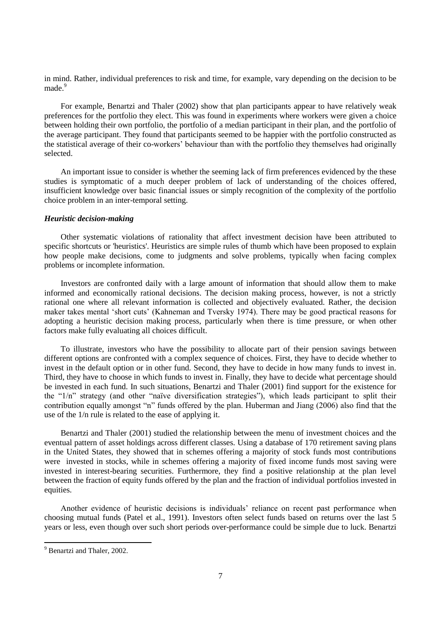in mind. Rather, individual preferences to risk and time, for example, vary depending on the decision to be made.<sup>9</sup>

For example, Benartzi and Thaler (2002) show that plan participants appear to have relatively weak preferences for the portfolio they elect. This was found in experiments where workers were given a choice between holding their own portfolio, the portfolio of a median participant in their plan, and the portfolio of the average participant. They found that participants seemed to be happier with the portfolio constructed as the statistical average of their co-workers' behaviour than with the portfolio they themselves had originally selected.

An important issue to consider is whether the seeming lack of firm preferences evidenced by the these studies is symptomatic of a much deeper problem of lack of understanding of the choices offered, insufficient knowledge over basic financial issues or simply recognition of the complexity of the portfolio choice problem in an inter-temporal setting.

#### *Heuristic decision-making*

Other systematic violations of rationality that affect investment decision have been attributed to specific shortcuts or 'heuristics'. Heuristics are simple rules of thumb which have been proposed to explain how people make decisions, come to judgments and solve problems, typically when facing complex problems or incomplete information.

Investors are confronted daily with a large amount of information that should allow them to make informed and economically rational decisions. The decision making process, however, is not a strictly rational one where all relevant information is collected and objectively evaluated. Rather, the decision maker takes mental 'short cuts' (Kahneman and Tversky 1974). There may be good practical reasons for adopting a heuristic decision making process, particularly when there is time pressure, or when other factors make fully evaluating all choices difficult.

To illustrate, investors who have the possibility to allocate part of their pension savings between different options are confronted with a complex sequence of choices. First, they have to decide whether to invest in the default option or in other fund. Second, they have to decide in how many funds to invest in. Third, they have to choose in which funds to invest in. Finally, they have to decide what percentage should be invested in each fund. In such situations, Benartzi and Thaler (2001) find support for the existence for the "1/n" strategy (and other "naïve diversification strategies"), which leads participant to split their contribution equally amongst "n" funds offered by the plan. Huberman and Jiang (2006) also find that the use of the 1/n rule is related to the ease of applying it.

Benartzi and Thaler (2001) studied the relationship between the menu of investment choices and the eventual pattern of asset holdings across different classes. Using a database of 170 retirement saving plans in the United States, they showed that in schemes offering a majority of stock funds most contributions were invested in stocks, while in schemes offering a majority of fixed income funds most saving were invested in interest-bearing securities. Furthermore, they find a positive relationship at the plan level between the fraction of equity funds offered by the plan and the fraction of individual portfolios invested in equities.

Another evidence of heuristic decisions is individuals' reliance on recent past performance when choosing mutual funds (Patel et al., 1991). Investors often select funds based on returns over the last 5 years or less, even though over such short periods over-performance could be simple due to luck. Benartzi

 $\overline{a}$ 

<sup>&</sup>lt;sup>9</sup> Benartzi and Thaler, 2002.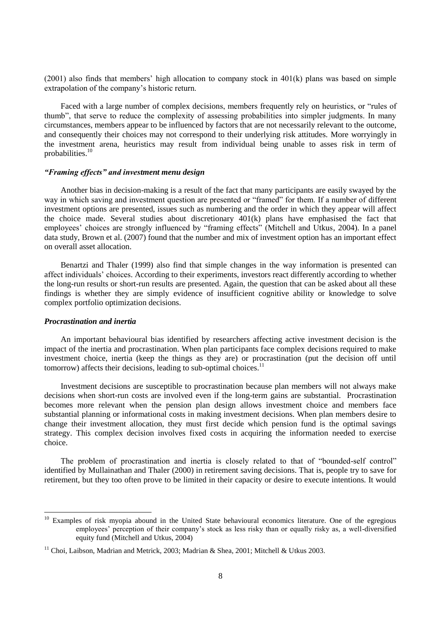(2001) also finds that members' high allocation to company stock in 401(k) plans was based on simple extrapolation of the company's historic return.

Faced with a large number of complex decisions, members frequently rely on heuristics, or "rules of thumb", that serve to reduce the complexity of assessing probabilities into simpler judgments. In many circumstances, members appear to be influenced by factors that are not necessarily relevant to the outcome, and consequently their choices may not correspond to their underlying risk attitudes. More worryingly in the investment arena, heuristics may result from individual being unable to asses risk in term of probabilities. $10$ 

# *"Framing effects" and investment menu design*

Another bias in decision-making is a result of the fact that many participants are easily swayed by the way in which saving and investment question are presented or "framed" for them. If a number of different investment options are presented, issues such as numbering and the order in which they appear will affect the choice made. Several studies about discretionary 401(k) plans have emphasised the fact that employees' choices are strongly influenced by "framing effects" (Mitchell and Utkus, 2004). In a panel data study, Brown et al. (2007) found that the number and mix of investment option has an important effect on overall asset allocation.

Benartzi and Thaler (1999) also find that simple changes in the way information is presented can affect individuals' choices. According to their experiments, investors react differently according to whether the long-run results or short-run results are presented. Again, the question that can be asked about all these findings is whether they are simply evidence of insufficient cognitive ability or knowledge to solve complex portfolio optimization decisions.

# *Procrastination and inertia*

 $\overline{a}$ 

An important behavioural bias identified by researchers affecting active investment decision is the impact of the inertia and procrastination. When plan participants face complex decisions required to make investment choice, inertia (keep the things as they are) or procrastination (put the decision off until tomorrow) affects their decisions, leading to sub-optimal choices.<sup>11</sup>

Investment decisions are susceptible to procrastination because plan members will not always make decisions when short-run costs are involved even if the long-term gains are substantial. Procrastination becomes more relevant when the pension plan design allows investment choice and members face substantial planning or informational costs in making investment decisions. When plan members desire to change their investment allocation, they must first decide which pension fund is the optimal savings strategy. This complex decision involves fixed costs in acquiring the information needed to exercise choice.

The problem of procrastination and inertia is closely related to that of "bounded-self control" identified by Mullainathan and Thaler (2000) in retirement saving decisions. That is, people try to save for retirement, but they too often prove to be limited in their capacity or desire to execute intentions. It would

<sup>&</sup>lt;sup>10</sup> Examples of risk myopia abound in the United State behavioural economics literature. One of the egregious employees' perception of their company's stock as less risky than or equally risky as, a well-diversified equity fund (Mitchell and Utkus, 2004)

<sup>&</sup>lt;sup>11</sup> Choi, Laibson, Madrian and Metrick, 2003; Madrian & Shea, 2001; Mitchell & Utkus 2003.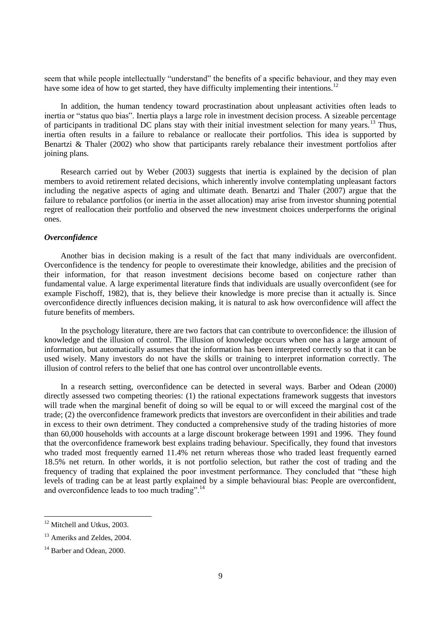seem that while people intellectually "understand" the benefits of a specific behaviour, and they may even have some idea of how to get started, they have difficulty implementing their intentions.<sup>12</sup>

In addition, the human tendency toward procrastination about unpleasant activities often leads to inertia or "status quo bias". Inertia plays a large role in investment decision process. A sizeable percentage of participants in traditional DC plans stay with their initial investment selection for many years.<sup>13</sup> Thus, inertia often results in a failure to rebalance or reallocate their portfolios. This idea is supported by Benartzi & Thaler (2002) who show that participants rarely rebalance their investment portfolios after joining plans.

Research carried out by Weber (2003) suggests that inertia is explained by the decision of plan members to avoid retirement related decisions, which inherently involve contemplating unpleasant factors including the negative aspects of aging and ultimate death. Benartzi and Thaler (2007) argue that the failure to rebalance portfolios (or inertia in the asset allocation) may arise from investor shunning potential regret of reallocation their portfolio and observed the new investment choices underperforms the original ones.

#### *Overconfidence*

Another bias in decision making is a result of the fact that many individuals are overconfident. Overconfidence is the tendency for people to overestimate their knowledge, abilities and the precision of their information, for that reason investment decisions become based on conjecture rather than fundamental value. A large experimental literature finds that individuals are usually overconfident (see for example Fischoff, 1982), that is, they believe their knowledge is more precise than it actually is. Since overconfidence directly influences decision making, it is natural to ask how overconfidence will affect the future benefits of members.

In the psychology literature, there are two factors that can contribute to overconfidence: the illusion of knowledge and the illusion of control. The illusion of knowledge occurs when one has a large amount of information, but automatically assumes that the information has been interpreted correctly so that it can be used wisely. Many investors do not have the skills or training to interpret information correctly. The illusion of control refers to the belief that one has control over uncontrollable events.

In a research setting, overconfidence can be detected in several ways. Barber and Odean (2000) directly assessed two competing theories: (1) the rational expectations framework suggests that investors will trade when the marginal benefit of doing so will be equal to or will exceed the marginal cost of the trade; (2) the overconfidence framework predicts that investors are overconfident in their abilities and trade in excess to their own detriment. They conducted a comprehensive study of the trading histories of more than 60,000 households with accounts at a large discount brokerage between 1991 and 1996. They found that the overconfidence framework best explains trading behaviour. Specifically, they found that investors who traded most frequently earned 11.4% net return whereas those who traded least frequently earned 18.5% net return. In other worlds, it is not portfolio selection, but rather the cost of trading and the frequency of trading that explained the poor investment performance. They concluded that "these high levels of trading can be at least partly explained by a simple behavioural bias: People are overconfident, and overconfidence leads to too much trading". $14$ 

l

<sup>&</sup>lt;sup>12</sup> Mitchell and Utkus, 2003.

<sup>13</sup> Ameriks and Zeldes, 2004.

<sup>&</sup>lt;sup>14</sup> Barber and Odean, 2000.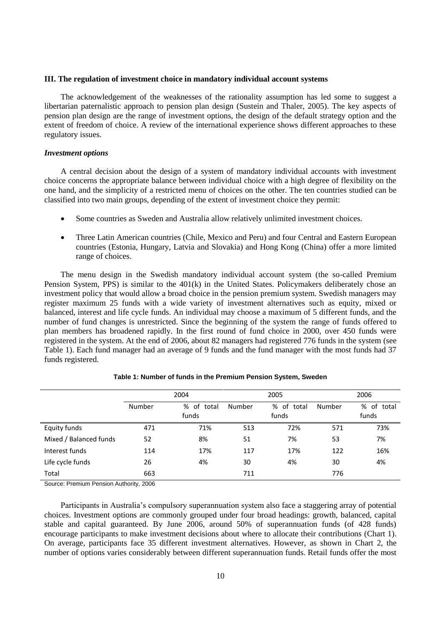#### **III. The regulation of investment choice in mandatory individual account systems**

The acknowledgement of the weaknesses of the rationality assumption has led some to suggest a libertarian paternalistic approach to pension plan design (Sustein and Thaler, 2005). The key aspects of pension plan design are the range of investment options, the design of the default strategy option and the extent of freedom of choice. A review of the international experience shows different approaches to these regulatory issues.

#### *Investment options*

A central decision about the design of a system of mandatory individual accounts with investment choice concerns the appropriate balance between individual choice with a high degree of flexibility on the one hand, and the simplicity of a restricted menu of choices on the other. The ten countries studied can be classified into two main groups, depending of the extent of investment choice they permit:

- Some countries as Sweden and Australia allow relatively unlimited investment choices.
- Three Latin American countries (Chile, Mexico and Peru) and four Central and Eastern European countries (Estonia, Hungary, Latvia and Slovakia) and Hong Kong (China) offer a more limited range of choices.

The menu design in the Swedish mandatory individual account system (the so-called Premium Pension System, PPS) is similar to the 401(k) in the United States. Policymakers deliberately chose an investment policy that would allow a broad choice in the pension premium system. Swedish managers may register maximum 25 funds with a wide variety of investment alternatives such as equity, mixed or balanced, interest and life cycle funds. An individual may choose a maximum of 5 different funds, and the number of fund changes is unrestricted. Since the beginning of the system the range of funds offered to plan members has broadened rapidly. In the first round of fund choice in 2000, over 450 funds were registered in the system. At the end of 2006, about 82 managers had registered 776 funds in the system (see Table 1). Each fund manager had an average of 9 funds and the fund manager with the most funds had 37 funds registered.

|                        |        | 2004                |        | 2005                |        | 2006                |
|------------------------|--------|---------------------|--------|---------------------|--------|---------------------|
|                        | Number | % of total<br>funds | Number | % of total<br>funds | Number | % of total<br>funds |
| Equity funds           | 471    | 71%                 | 513    | 72%                 | 571    | 73%                 |
| Mixed / Balanced funds | 52     | 8%                  | 51     | 7%                  | 53     | 7%                  |
| Interest funds         | 114    | 17%                 | 117    | 17%                 | 122    | 16%                 |
| Life cycle funds       | 26     | 4%                  | 30     | 4%                  | 30     | 4%                  |
| Total                  | 663    |                     | 711    |                     | 776    |                     |

#### **Table 1: Number of funds in the Premium Pension System, Sweden**

Source: Premium Pension Authority, 2006

Participants in Australia's compulsory superannuation system also face a staggering array of potential choices. Investment options are commonly grouped under four broad headings: growth, balanced, capital stable and capital guaranteed. By June 2006, around 50% of superannuation funds (of 428 funds) encourage participants to make investment decisions about where to allocate their contributions (Chart 1). On average, participants face 35 different investment alternatives. However, as shown in Chart 2, the number of options varies considerably between different superannuation funds. Retail funds offer the most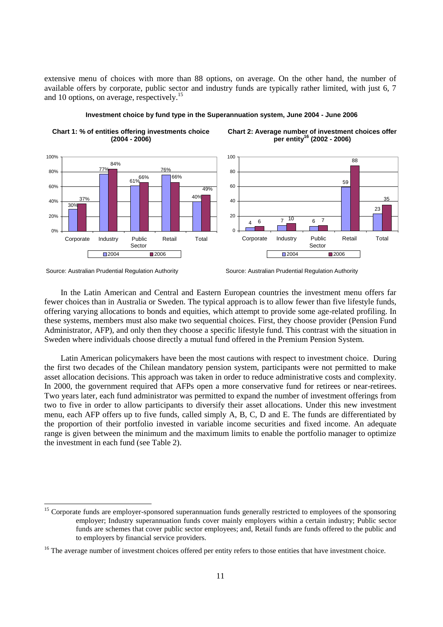extensive menu of choices with more than 88 options, on average. On the other hand, the number of available offers by corporate, public sector and industry funds are typically rather limited, with just 6, 7 and 10 options, on average, respectively.<sup>15</sup>





**Chart 1: % of entities offering investments choice (2004 - 2006)**

**Chart 2: Average number of investment choices offer per entity<sup>16</sup> (2002 - 2006)**

 $\overline{a}$ 

In the Latin American and Central and Eastern European countries the investment menu offers far fewer choices than in Australia or Sweden. The typical approach is to allow fewer than five lifestyle funds, offering varying allocations to bonds and equities, which attempt to provide some age-related profiling. In these systems, members must also make two sequential choices. First, they choose provider (Pension Fund Administrator, AFP), and only then they choose a specific lifestyle fund. This contrast with the situation in Sweden where individuals choose directly a mutual fund offered in the Premium Pension System.

Latin American policymakers have been the most cautions with respect to investment choice. During the first two decades of the Chilean mandatory pension system, participants were not permitted to make asset allocation decisions. This approach was taken in order to reduce administrative costs and complexity. In 2000, the government required that AFPs open a more conservative fund for retirees or near-retirees. Two years later, each fund administrator was permitted to expand the number of investment offerings from two to five in order to allow participants to diversify their asset allocations. Under this new investment menu, each AFP offers up to five funds, called simply A, B, C, D and E. The funds are differentiated by the proportion of their portfolio invested in variable income securities and fixed income. An adequate range is given between the minimum and the maximum limits to enable the portfolio manager to optimize the investment in each fund (see Table 2).

Source: Australian Prudential Regulation Authority Source: Australian Prudential Regulation Authority

<sup>&</sup>lt;sup>15</sup> Corporate funds are employer-sponsored superannuation funds generally restricted to employees of the sponsoring employer; Industry superannuation funds cover mainly employers within a certain industry; Public sector funds are schemes that cover public sector employees; and, Retail funds are funds offered to the public and to employers by financial service providers.

<sup>&</sup>lt;sup>16</sup> The average number of investment choices offered per entity refers to those entities that have investment choice.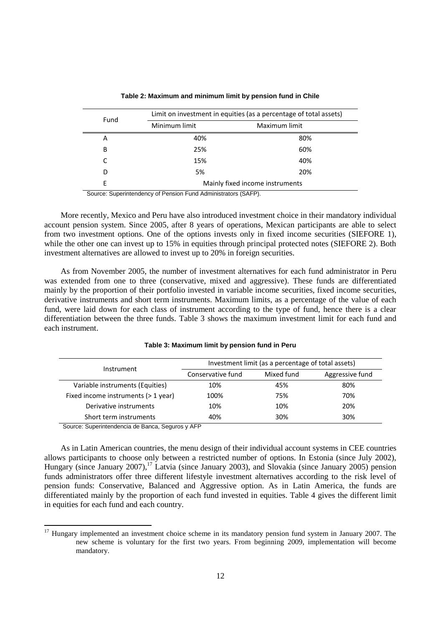| Fund |               | Limit on investment in equities (as a percentage of total assets) |  |  |  |  |
|------|---------------|-------------------------------------------------------------------|--|--|--|--|
|      | Minimum limit | Maximum limit                                                     |  |  |  |  |
| A    | 40%           | 80%                                                               |  |  |  |  |
| В    | 25%           | 60%                                                               |  |  |  |  |
| C    | 15%           | 40%                                                               |  |  |  |  |
| D    | 5%            | 20%                                                               |  |  |  |  |
| F    |               | Mainly fixed income instruments                                   |  |  |  |  |

#### **Table 2: Maximum and minimum limit by pension fund in Chile**

Source: Superintendency of Pension Fund Administrators (SAFP).

More recently, Mexico and Peru have also introduced investment choice in their mandatory individual account pension system. Since 2005, after 8 years of operations, Mexican participants are able to select from two investment options. One of the options invests only in fixed income securities (SIEFORE 1), while the other one can invest up to 15% in equities through principal protected notes (SIEFORE 2). Both investment alternatives are allowed to invest up to 20% in foreign securities.

As from November 2005, the number of investment alternatives for each fund administrator in Peru was extended from one to three (conservative, mixed and aggressive). These funds are differentiated mainly by the proportion of their portfolio invested in variable income securities, fixed income securities, derivative instruments and short term instruments. Maximum limits, as a percentage of the value of each fund, were laid down for each class of instrument according to the type of fund, hence there is a clear differentiation between the three funds. Table 3 shows the maximum investment limit for each fund and each instrument.

| Instrument                          |                   | Investment limit (as a percentage of total assets) |                 |
|-------------------------------------|-------------------|----------------------------------------------------|-----------------|
|                                     | Conservative fund | Mixed fund                                         | Aggressive fund |
| Variable instruments (Equities)     | 10%               | 45%                                                | 80%             |
| Fixed income instruments (> 1 year) | 100%              | 75%                                                | 70%             |
| Derivative instruments              | 10%               | 10%                                                | 20%             |
| Short term instruments              | 40%               | 30%                                                | 30%             |

#### **Table 3: Maximum limit by pension fund in Peru**

Source: Superintendencia de Banca, Seguros y AFP

l

As in Latin American countries, the menu design of their individual account systems in CEE countries allows participants to choose only between a restricted number of options. In Estonia (since July 2002), Hungary (since January 2007),<sup>17</sup> Latvia (since January 2003), and Slovakia (since January 2005) pension funds administrators offer three different lifestyle investment alternatives according to the risk level of pension funds: Conservative, Balanced and Aggressive option. As in Latin America, the funds are differentiated mainly by the proportion of each fund invested in equities. Table 4 gives the different limit in equities for each fund and each country.

<sup>&</sup>lt;sup>17</sup> Hungary implemented an investment choice scheme in its mandatory pension fund system in January 2007. The new scheme is voluntary for the first two years. From beginning 2009, implementation will become mandatory.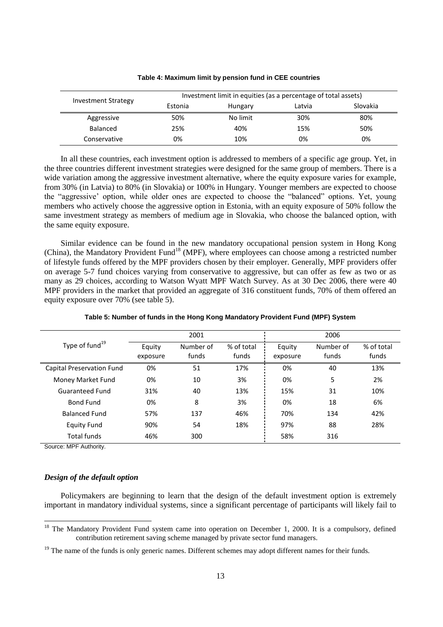|                            |         | Investment limit in equities (as a percentage of total assets) |        |          |
|----------------------------|---------|----------------------------------------------------------------|--------|----------|
| <b>Investment Strategy</b> | Estonia | Hungary                                                        | Latvia | Slovakia |
| Aggressive                 | 50%     | No limit                                                       | 30%    | 80%      |
| Balanced                   | 25%     | 40%                                                            | 15%    | 50%      |
| Conservative               | 0%      | 10%                                                            | 0%     | 0%       |

**Table 4: Maximum limit by pension fund in CEE countries**

In all these countries, each investment option is addressed to members of a specific age group. Yet, in the three countries different investment strategies were designed for the same group of members. There is a wide variation among the aggressive investment alternative, where the equity exposure varies for example, from 30% (in Latvia) to 80% (in Slovakia) or 100% in Hungary. Younger members are expected to choose the "aggressive" option, while older ones are expected to choose the "balanced" options. Yet, young members who actively choose the aggressive option in Estonia, with an equity exposure of 50% follow the same investment strategy as members of medium age in Slovakia, who choose the balanced option, with the same equity exposure.

Similar evidence can be found in the new mandatory occupational pension system in Hong Kong (China), the Mandatory Provident Fund<sup>18</sup> (MPF), where employees can choose among a restricted number of lifestyle funds offered by the MPF providers chosen by their employer. Generally, MPF providers offer on average 5-7 fund choices varying from conservative to aggressive, but can offer as few as two or as many as 29 choices, according to Watson Wyatt MPF Watch Survey. As at 30 Dec 2006, there were 40 MPF providers in the market that provided an aggregate of 316 constituent funds, 70% of them offered an equity exposure over 70% (see table 5).

|                            |                    | 2001               |                     |                    | 2006               |                     |
|----------------------------|--------------------|--------------------|---------------------|--------------------|--------------------|---------------------|
| Type of fund <sup>19</sup> | Equity<br>exposure | Number of<br>funds | % of total<br>funds | Equity<br>exposure | Number of<br>funds | % of total<br>funds |
| Capital Preservation Fund  | 0%                 | 51                 | 17%                 | 0%                 | 40                 | 13%                 |
| Money Market Fund          | 0%                 | 10                 | 3%                  | 0%                 | 5                  | 2%                  |
| <b>Guaranteed Fund</b>     | 31%                | 40                 | 13%                 | 15%                | 31                 | 10%                 |
| <b>Bond Fund</b>           | 0%                 | 8                  | 3%                  | 0%                 | 18                 | 6%                  |
| <b>Balanced Fund</b>       | 57%                | 137                | 46%                 | 70%                | 134                | 42%                 |
| <b>Equity Fund</b>         | 90%                | 54                 | 18%                 | 97%                | 88                 | 28%                 |
| <b>Total funds</b>         | 46%                | 300                |                     | 58%                | 316                |                     |

**Table 5: Number of funds in the Hong Kong Mandatory Provident Fund (MPF) System** 

Source: MPF Authority.

l

# *Design of the default option*

Policymakers are beginning to learn that the design of the default investment option is extremely important in mandatory individual systems, since a significant percentage of participants will likely fail to

<sup>&</sup>lt;sup>18</sup> The Mandatory Provident Fund system came into operation on December 1, 2000. It is a compulsory, defined contribution retirement saving scheme managed by private sector fund managers.

 $19$  The name of the funds is only generic names. Different schemes may adopt different names for their funds.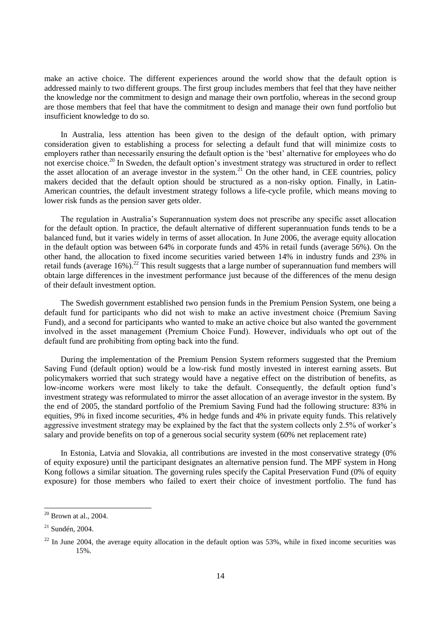make an active choice. The different experiences around the world show that the default option is addressed mainly to two different groups. The first group includes members that feel that they have neither the knowledge nor the commitment to design and manage their own portfolio, whereas in the second group are those members that feel that have the commitment to design and manage their own fund portfolio but insufficient knowledge to do so.

In Australia, less attention has been given to the design of the default option, with primary consideration given to establishing a process for selecting a default fund that will minimize costs to employers rather than necessarily ensuring the default option is the 'best' alternative for employees who do not exercise choice.<sup>20</sup> In Sweden, the default option's investment strategy was structured in order to reflect the asset allocation of an average investor in the system.<sup>21</sup> On the other hand, in CEE countries, policy makers decided that the default option should be structured as a non-risky option. Finally, in Latin-American countries, the default investment strategy follows a life-cycle profile, which means moving to lower risk funds as the pension saver gets older.

The regulation in Australia's Superannuation system does not prescribe any specific asset allocation for the default option. In practice, the default alternative of different superannuation funds tends to be a balanced fund, but it varies widely in terms of asset allocation. In June 2006, the average equity allocation in the default option was between 64% in corporate funds and 45% in retail funds (average 56%). On the other hand, the allocation to fixed income securities varied between 14% in industry funds and 23% in retail funds (average  $16\%$ ).<sup>22</sup> This result suggests that a large number of superannuation fund members will obtain large differences in the investment performance just because of the differences of the menu design of their default investment option.

The Swedish government established two pension funds in the Premium Pension System, one being a default fund for participants who did not wish to make an active investment choice (Premium Saving Fund), and a second for participants who wanted to make an active choice but also wanted the government involved in the asset management (Premium Choice Fund). However, individuals who opt out of the default fund are prohibiting from opting back into the fund.

During the implementation of the Premium Pension System reformers suggested that the Premium Saving Fund (default option) would be a low-risk fund mostly invested in interest earning assets. But policymakers worried that such strategy would have a negative effect on the distribution of benefits, as low-income workers were most likely to take the default. Consequently, the default option fund's investment strategy was reformulated to mirror the asset allocation of an average investor in the system. By the end of 2005, the standard portfolio of the Premium Saving Fund had the following structure: 83% in equities, 9% in fixed income securities, 4% in hedge funds and 4% in private equity funds. This relatively aggressive investment strategy may be explained by the fact that the system collects only 2.5% of worker's salary and provide benefits on top of a generous social security system (60% net replacement rate)

In Estonia, Latvia and Slovakia, all contributions are invested in the most conservative strategy (0% of equity exposure) until the participant designates an alternative pension fund. The MPF system in Hong Kong follows a similar situation. The governing rules specify the Capital Preservation Fund (0% of equity exposure) for those members who failed to exert their choice of investment portfolio. The fund has

 $\overline{a}$ 

 $^{20}$  Brown at al., 2004.

 $21$  Sundén, 2004.

 $^{22}$  In June 2004, the average equity allocation in the default option was 53%, while in fixed income securities was 15%.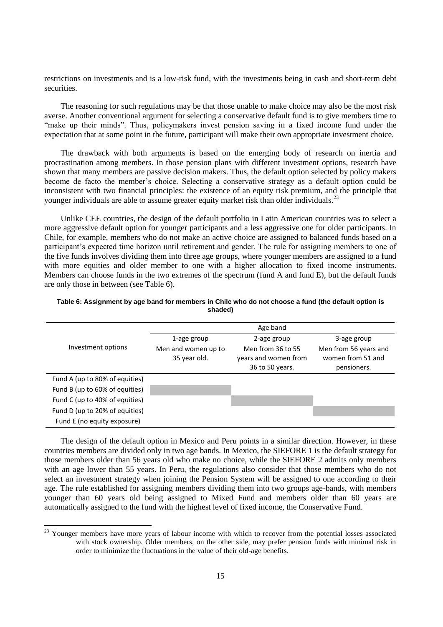restrictions on investments and is a low-risk fund, with the investments being in cash and short-term debt securities.

The reasoning for such regulations may be that those unable to make choice may also be the most risk averse. Another conventional argument for selecting a conservative default fund is to give members time to ―make up their minds‖. Thus, policymakers invest pension saving in a fixed income fund under the expectation that at some point in the future, participant will make their own appropriate investment choice.

The drawback with both arguments is based on the emerging body of research on inertia and procrastination among members. In those pension plans with different investment options, research have shown that many members are passive decision makers. Thus, the default option selected by policy makers become de facto the member's choice. Selecting a conservative strategy as a default option could be inconsistent with two financial principles: the existence of an equity risk premium, and the principle that younger individuals are able to assume greater equity market risk than older individuals.<sup>23</sup>

Unlike CEE countries, the design of the default portfolio in Latin American countries was to select a more aggressive default option for younger participants and a less aggressive one for older participants. In Chile, for example, members who do not make an active choice are assigned to balanced funds based on a participant's expected time horizon until retirement and gender. The rule for assigning members to one of the five funds involves dividing them into three age groups, where younger members are assigned to a fund with more equities and older member to one with a higher allocation to fixed income instruments. Members can choose funds in the two extremes of the spectrum (fund A and fund E), but the default funds are only those in between (see Table 6).

| Table 6: Assignment by age band for members in Chile who do not choose a fund (the default option is |  |
|------------------------------------------------------------------------------------------------------|--|
| shaded)                                                                                              |  |

|                                |                                     | Age band                                                     |                                                           |
|--------------------------------|-------------------------------------|--------------------------------------------------------------|-----------------------------------------------------------|
|                                | 1-age group                         | 2-age group                                                  | 3-age group                                               |
| Investment options             | Men and women up to<br>35 year old. | Men from 36 to 55<br>years and women from<br>36 to 50 years. | Men from 56 years and<br>women from 51 and<br>pensioners. |
| Fund A (up to 80% of equities) |                                     |                                                              |                                                           |
| Fund B (up to 60% of equities) |                                     |                                                              |                                                           |
| Fund C (up to 40% of equities) |                                     |                                                              |                                                           |
| Fund D (up to 20% of equities) |                                     |                                                              |                                                           |
| Fund E (no equity exposure)    |                                     |                                                              |                                                           |

The design of the default option in Mexico and Peru points in a similar direction. However, in these countries members are divided only in two age bands. In Mexico, the SIEFORE 1 is the default strategy for those members older than 56 years old who make no choice, while the SIEFORE 2 admits only members with an age lower than 55 years. In Peru, the regulations also consider that those members who do not select an investment strategy when joining the Pension System will be assigned to one according to their age. The rule established for assigning members dividing them into two groups age-bands, with members younger than 60 years old being assigned to Mixed Fund and members older than 60 years are automatically assigned to the fund with the highest level of fixed income, the Conservative Fund.

l

<sup>&</sup>lt;sup>23</sup> Younger members have more years of labour income with which to recover from the potential losses associated with stock ownership. Older members, on the other side, may prefer pension funds with minimal risk in order to minimize the fluctuations in the value of their old-age benefits.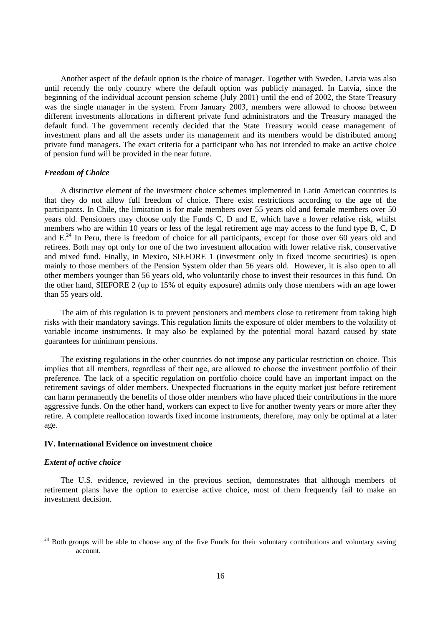Another aspect of the default option is the choice of manager. Together with Sweden, Latvia was also until recently the only country where the default option was publicly managed. In Latvia, since the beginning of the individual account pension scheme (July 2001) until the end of 2002, the State Treasury was the single manager in the system. From January 2003, members were allowed to choose between different investments allocations in different private fund administrators and the Treasury managed the default fund. The government recently decided that the State Treasury would cease management of investment plans and all the assets under its management and its members would be distributed among private fund managers. The exact criteria for a participant who has not intended to make an active choice of pension fund will be provided in the near future.

#### *Freedom of Choice*

A distinctive element of the investment choice schemes implemented in Latin American countries is that they do not allow full freedom of choice. There exist restrictions according to the age of the participants. In Chile, the limitation is for male members over 55 years old and female members over 50 years old. Pensioners may choose only the Funds C, D and E, which have a lower relative risk, whilst members who are within 10 years or less of the legal retirement age may access to the fund type B, C, D and  $E^{24}$  In Peru, there is freedom of choice for all participants, except for those over 60 years old and retirees. Both may opt only for one of the two investment allocation with lower relative risk, conservative and mixed fund. Finally, in Mexico, SIEFORE 1 (investment only in fixed income securities) is open mainly to those members of the Pension System older than 56 years old. However, it is also open to all other members younger than 56 years old, who voluntarily chose to invest their resources in this fund. On the other hand, SIEFORE 2 (up to 15% of equity exposure) admits only those members with an age lower than 55 years old.

The aim of this regulation is to prevent pensioners and members close to retirement from taking high risks with their mandatory savings. This regulation limits the exposure of older members to the volatility of variable income instruments. It may also be explained by the potential moral hazard caused by state guarantees for minimum pensions.

The existing regulations in the other countries do not impose any particular restriction on choice. This implies that all members, regardless of their age, are allowed to choose the investment portfolio of their preference. The lack of a specific regulation on portfolio choice could have an important impact on the retirement savings of older members. Unexpected fluctuations in the equity market just before retirement can harm permanently the benefits of those older members who have placed their contributions in the more aggressive funds. On the other hand, workers can expect to live for another twenty years or more after they retire. A complete reallocation towards fixed income instruments, therefore, may only be optimal at a later age.

# **IV. International Evidence on investment choice**

#### *Extent of active choice*

l

The U.S. evidence, reviewed in the previous section, demonstrates that although members of retirement plans have the option to exercise active choice, most of them frequently fail to make an investment decision.

<sup>24</sup> Both groups will be able to choose any of the five Funds for their voluntary contributions and voluntary saving account.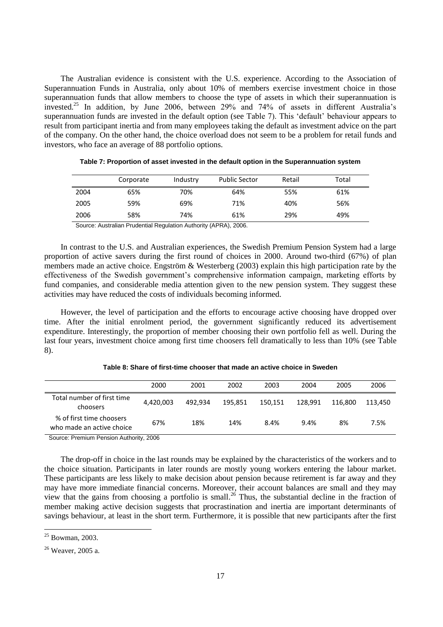The Australian evidence is consistent with the U.S. experience. According to the Association of Superannuation Funds in Australia, only about 10% of members exercise investment choice in those superannuation funds that allow members to choose the type of assets in which their superannuation is invested.<sup>25</sup> In addition, by June 2006, between 29% and 74% of assets in different Australia's superannuation funds are invested in the default option (see Table 7). This 'default' behaviour appears to result from participant inertia and from many employees taking the default as investment advice on the part of the company. On the other hand, the choice overload does not seem to be a problem for retail funds and investors, who face an average of 88 portfolio options.

|      | Corporate | Industry | <b>Public Sector</b> | Retail | Total |
|------|-----------|----------|----------------------|--------|-------|
| 2004 | 65%       | 70%      | 64%                  | 55%    | 61%   |
| 2005 | 59%       | 69%      | 71%                  | 40%    | 56%   |
| 2006 | 58%       | 74%      | 61%                  | 29%    | 49%   |

| Table 7: Proportion of asset invested in the default option in the Superannuation system |  |  |  |  |  |  |  |
|------------------------------------------------------------------------------------------|--|--|--|--|--|--|--|
|------------------------------------------------------------------------------------------|--|--|--|--|--|--|--|

Source: Australian Prudential Regulation Authority (APRA), 2006.

In contrast to the U.S. and Australian experiences, the Swedish Premium Pension System had a large proportion of active savers during the first round of choices in 2000. Around two-third (67%) of plan members made an active choice. Engström & Westerberg (2003) explain this high participation rate by the effectiveness of the Swedish government's comprehensive information campaign, marketing efforts by fund companies, and considerable media attention given to the new pension system. They suggest these activities may have reduced the costs of individuals becoming informed.

However, the level of participation and the efforts to encourage active choosing have dropped over time. After the initial enrolment period, the government significantly reduced its advertisement expenditure. Interestingly, the proportion of member choosing their own portfolio fell as well. During the last four years, investment choice among first time choosers fell dramatically to less than 10% (see Table 8).

|                                                       | 2000      | 2001    | 2002    | 2003    | 2004    | 2005    | 2006    |
|-------------------------------------------------------|-----------|---------|---------|---------|---------|---------|---------|
| Total number of first time<br>choosers                | 4.420.003 | 492.934 | 195.851 | 150.151 | 128.991 | 116.800 | 113.450 |
| % of first time choosers<br>who made an active choice | 67%       | 18%     | 14%     | 8.4%    | 9.4%    | 8%      | 7.5%    |
| Course: Dramium Dangian Authority 2006                |           |         |         |         |         |         |         |

#### **Table 8: Share of first-time chooser that made an active choice in Sweden**

Source: Premium Pension Authority, 2006

The drop-off in choice in the last rounds may be explained by the characteristics of the workers and to the choice situation. Participants in later rounds are mostly young workers entering the labour market. These participants are less likely to make decision about pension because retirement is far away and they may have more immediate financial concerns. Moreover, their account balances are small and they may view that the gains from choosing a portfolio is small.<sup>26</sup> Thus, the substantial decline in the fraction of member making active decision suggests that procrastination and inertia are important determinants of savings behaviour, at least in the short term. Furthermore, it is possible that new participants after the first

l

 $25$  Bowman, 2003.

<sup>26</sup> Weaver, 2005 a.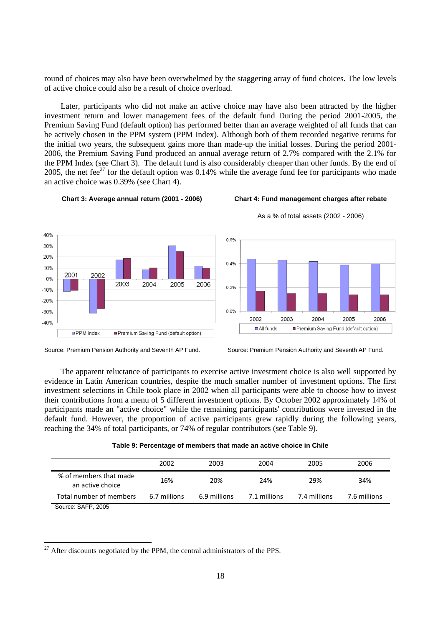round of choices may also have been overwhelmed by the staggering array of fund choices. The low levels of active choice could also be a result of choice overload.

Later, participants who did not make an active choice may have also been attracted by the higher investment return and lower management fees of the default fund During the period 2001-2005, the Premium Saving Fund (default option) has performed better than an average weighted of all funds that can be actively chosen in the PPM system (PPM Index). Although both of them recorded negative returns for the initial two years, the subsequent gains more than made-up the initial losses. During the period 2001- 2006, the Premium Saving Fund produced an annual average return of 2.7% compared with the 2.1% for the PPM Index (see Chart 3). The default fund is also considerably cheaper than other funds. By the end of 2005, the net fee<sup>27</sup> for the default option was 0.14% while the average fund fee for participants who made an active choice was 0.39% (see Chart 4).



#### **Chart 3: Average annual return (2001 - 2006) Chart 4: Fund management charges after rebate**



As a % of total assets (2002 - 2006)

 $\overline{a}$ 

The apparent reluctance of participants to exercise active investment choice is also well supported by evidence in Latin American countries, despite the much smaller number of investment options. The first investment selections in Chile took place in 2002 when all participants were able to choose how to invest their contributions from a menu of 5 different investment options. By October 2002 approximately 14% of participants made an "active choice" while the remaining participants' contributions were invested in the default fund. However, the proportion of active participants grew rapidly during the following years, reaching the 34% of total participants, or 74% of regular contributors (see Table 9).

| Table 9: Percentage of members that made an active choice in Chile |
|--------------------------------------------------------------------|
|--------------------------------------------------------------------|

|                                            | 2002         | 2003         | 2004         | 2005         | 2006         |
|--------------------------------------------|--------------|--------------|--------------|--------------|--------------|
| % of members that made<br>an active choice | 16%          | 20%          | 24%          | 29%          | 34%          |
| Total number of members                    | 6.7 millions | 6.9 millions | 7.1 millions | 7.4 millions | 7.6 millions |
| Source: SAFP, 2005                         |              |              |              |              |              |

 $27$  After discounts negotiated by the PPM, the central administrators of the PPS.

Source: Premium Pension Authority and Seventh AP Fund. Source: Premium Pension Authority and Seventh AP Fund.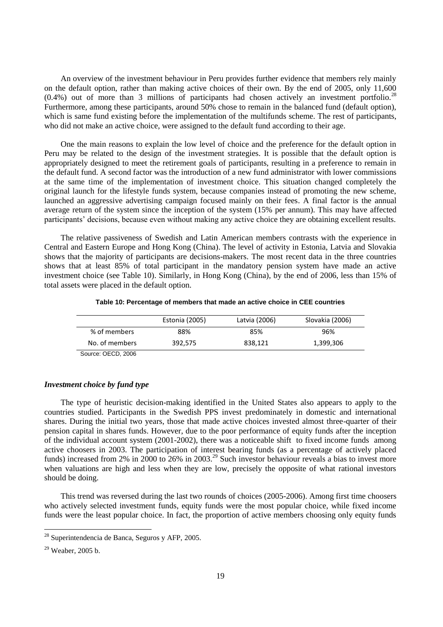An overview of the investment behaviour in Peru provides further evidence that members rely mainly on the default option, rather than making active choices of their own. By the end of 2005, only 11,600  $(0.4\%)$  out of more than 3 millions of participants had chosen actively an investment portfolio.<sup>28</sup> Furthermore, among these participants, around 50% chose to remain in the balanced fund (default option), which is same fund existing before the implementation of the multifunds scheme. The rest of participants, who did not make an active choice, were assigned to the default fund according to their age.

One the main reasons to explain the low level of choice and the preference for the default option in Peru may be related to the design of the investment strategies. It is possible that the default option is appropriately designed to meet the retirement goals of participants, resulting in a preference to remain in the default fund. A second factor was the introduction of a new fund administrator with lower commissions at the same time of the implementation of investment choice. This situation changed completely the original launch for the lifestyle funds system, because companies instead of promoting the new scheme, launched an aggressive advertising campaign focused mainly on their fees. A final factor is the annual average return of the system since the inception of the system (15% per annum). This may have affected participants' decisions, because even without making any active choice they are obtaining excellent results.

The relative passiveness of Swedish and Latin American members contrasts with the experience in Central and Eastern Europe and Hong Kong (China). The level of activity in Estonia, Latvia and Slovakia shows that the majority of participants are decisions-makers. The most recent data in the three countries shows that at least 85% of total participant in the mandatory pension system have made an active investment choice (see Table 10). Similarly, in Hong Kong (China), by the end of 2006, less than 15% of total assets were placed in the default option.

| Table 10: Percentage of members that made an active choice in CEE countries |  |  |
|-----------------------------------------------------------------------------|--|--|
|-----------------------------------------------------------------------------|--|--|

|                    | <b>Estonia (2005)</b> | Latvia (2006) | Slovakia (2006) |
|--------------------|-----------------------|---------------|-----------------|
| % of members       | 88%                   | 85%           | 96%             |
| No. of members     | 392.575               | 838.121       | 1,399,306       |
| Source: OECD, 2006 |                       |               |                 |

#### *Investment choice by fund type*

The type of heuristic decision-making identified in the United States also appears to apply to the countries studied. Participants in the Swedish PPS invest predominately in domestic and international shares. During the initial two years, those that made active choices invested almost three-quarter of their pension capital in shares funds. However, due to the poor performance of equity funds after the inception of the individual account system (2001-2002), there was a noticeable shift to fixed income funds among active choosers in 2003. The participation of interest bearing funds (as a percentage of actively placed funds) increased from 2% in 2000 to 26% in 2003.<sup>29</sup> Such investor behaviour reveals a bias to invest more when valuations are high and less when they are low, precisely the opposite of what rational investors should be doing.

This trend was reversed during the last two rounds of choices (2005-2006). Among first time choosers who actively selected investment funds, equity funds were the most popular choice, while fixed income funds were the least popular choice. In fact, the proportion of active members choosing only equity funds

l

 $^{28}$  Superintendencia de Banca, Seguros y AFP, 2005.

 $^{29}$  Weaber, 2005 b.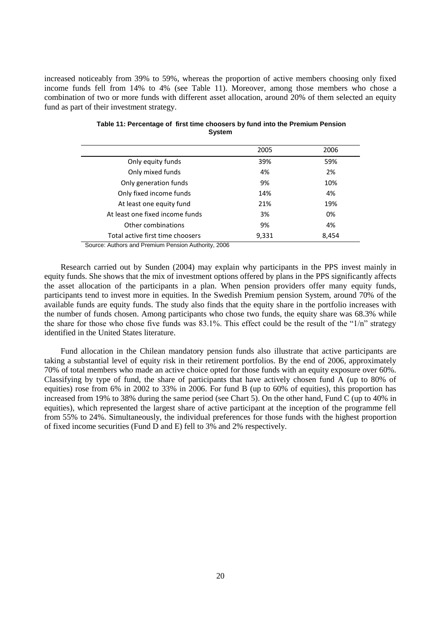increased noticeably from 39% to 59%, whereas the proportion of active members choosing only fixed income funds fell from 14% to 4% (see Table 11). Moreover, among those members who chose a combination of two or more funds with different asset allocation, around 20% of them selected an equity fund as part of their investment strategy.

|                                  | 2005  | 2006  |
|----------------------------------|-------|-------|
| Only equity funds                | 39%   | 59%   |
| Only mixed funds                 | 4%    | 2%    |
| Only generation funds            | 9%    | 10%   |
| Only fixed income funds          | 14%   | 4%    |
| At least one equity fund         | 21%   | 19%   |
| At least one fixed income funds  | 3%    | 0%    |
| Other combinations               | 9%    | 4%    |
| Total active first time choosers | 9,331 | 8,454 |
| .                                |       |       |

|               | Table 11: Percentage of first time choosers by fund into the Premium Pension |  |
|---------------|------------------------------------------------------------------------------|--|
| <b>System</b> |                                                                              |  |

Source: Authors and Premium Pension Authority, 2006

Research carried out by Sunden (2004) may explain why participants in the PPS invest mainly in equity funds. She shows that the mix of investment options offered by plans in the PPS significantly affects the asset allocation of the participants in a plan. When pension providers offer many equity funds, participants tend to invest more in equities. In the Swedish Premium pension System, around 70% of the available funds are equity funds. The study also finds that the equity share in the portfolio increases with the number of funds chosen. Among participants who chose two funds, the equity share was 68.3% while the share for those who chose five funds was  $83.1\%$ . This effect could be the result of the " $1/n$ " strategy identified in the United States literature.

Fund allocation in the Chilean mandatory pension funds also illustrate that active participants are taking a substantial level of equity risk in their retirement portfolios. By the end of 2006, approximately 70% of total members who made an active choice opted for those funds with an equity exposure over 60%. Classifying by type of fund, the share of participants that have actively chosen fund A (up to 80% of equities) rose from 6% in 2002 to 33% in 2006. For fund B (up to 60% of equities), this proportion has increased from 19% to 38% during the same period (see Chart 5). On the other hand, Fund C (up to 40% in equities), which represented the largest share of active participant at the inception of the programme fell from 55% to 24%. Simultaneously, the individual preferences for those funds with the highest proportion of fixed income securities (Fund D and E) fell to 3% and 2% respectively.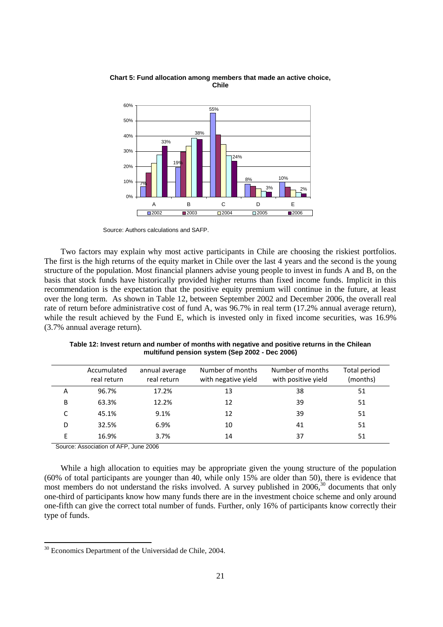

#### **Chart 5: Fund allocation among members that made an active choice, Chile**

Source: Authors calculations and SAFP.

Two factors may explain why most active participants in Chile are choosing the riskiest portfolios. The first is the high returns of the equity market in Chile over the last 4 years and the second is the young structure of the population. Most financial planners advise young people to invest in funds A and B, on the basis that stock funds have historically provided higher returns than fixed income funds. Implicit in this recommendation is the expectation that the positive equity premium will continue in the future, at least over the long term. As shown in Table 12, between September 2002 and December 2006, the overall real rate of return before administrative cost of fund A, was 96.7% in real term (17.2% annual average return), while the result achieved by the Fund E, which is invested only in fixed income securities, was 16.9% (3.7% annual average return).

|   | Accumulated<br>real return | annual average<br>real return | Number of months<br>with negative yield | Number of months<br>with positive yield | Total period<br>(months) |
|---|----------------------------|-------------------------------|-----------------------------------------|-----------------------------------------|--------------------------|
| A | 96.7%                      | 17.2%                         | 13                                      | 38                                      | 51                       |
| B | 63.3%                      | 12.2%                         | 12                                      | 39                                      | 51                       |
| C | 45.1%                      | 9.1%                          | 12                                      | 39                                      | 51                       |
| D | 32.5%                      | 6.9%                          | 10                                      | 41                                      | 51                       |
|   | 16.9%                      | 3.7%                          | 14                                      | 37                                      | 51                       |

**Table 12: Invest return and number of months with negative and positive returns in the Chilean multifund pension system (Sep 2002 - Dec 2006)**

Source: Association of AFP, June 2006

 $\overline{a}$ 

While a high allocation to equities may be appropriate given the young structure of the population (60% of total participants are younger than 40, while only 15% are older than 50), there is evidence that most members do not understand the risks involved. A survey published in  $2006$ ,  $30$  documents that only one-third of participants know how many funds there are in the investment choice scheme and only around one-fifth can give the correct total number of funds. Further, only 16% of participants know correctly their type of funds.

<sup>30</sup> Economics Department of the Universidad de Chile, 2004.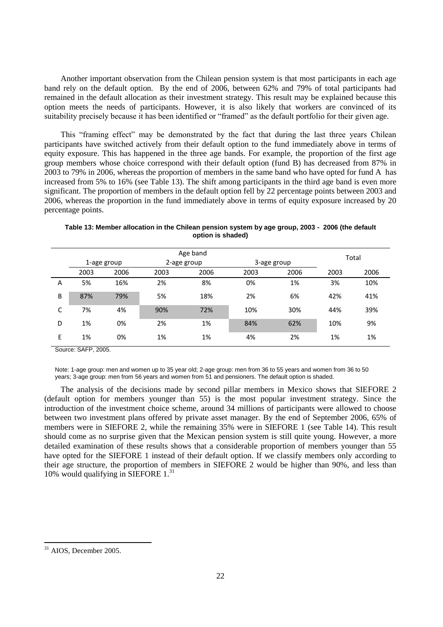Another important observation from the Chilean pension system is that most participants in each age band rely on the default option. By the end of 2006, between 62% and 79% of total participants had remained in the default allocation as their investment strategy. This result may be explained because this option meets the needs of participants. However, it is also likely that workers are convinced of its suitability precisely because it has been identified or "framed" as the default portfolio for their given age.

This "framing effect" may be demonstrated by the fact that during the last three years Chilean participants have switched actively from their default option to the fund immediately above in terms of equity exposure. This has happened in the three age bands. For example, the proportion of the first age group members whose choice correspond with their default option (fund B) has decreased from 87% in 2003 to 79% in 2006, whereas the proportion of members in the same band who have opted for fund A has increased from 5% to 16% (see Table 13). The shift among participants in the third age band is even more significant. The proportion of members in the default option fell by 22 percentage points between 2003 and 2006, whereas the proportion in the fund immediately above in terms of equity exposure increased by 20 percentage points.

|   | Age band |             |      |             |      | Total       |      |      |
|---|----------|-------------|------|-------------|------|-------------|------|------|
|   |          | 1-age group |      | 2-age group |      | 3-age group |      |      |
|   | 2003     | 2006        | 2003 | 2006        | 2003 | 2006        | 2003 | 2006 |
| Α | 5%       | 16%         | 2%   | 8%          | 0%   | 1%          | 3%   | 10%  |
| B | 87%      | 79%         | 5%   | 18%         | 2%   | 6%          | 42%  | 41%  |
| C | 7%       | 4%          | 90%  | 72%         | 10%  | 30%         | 44%  | 39%  |
| D | 1%       | 0%          | 2%   | 1%          | 84%  | 62%         | 10%  | 9%   |
| E | 1%       | 0%          | 1%   | 1%          | 4%   | 2%          | 1%   | 1%   |

**Table 13: Member allocation in the Chilean pension system by age group, 2003 - 2006 (the default option is shaded)**

Source: SAFP, 2005.

Note: 1-age group: men and women up to 35 year old; 2-age group: men from 36 to 55 years and women from 36 to 50 years; 3-age group: men from 56 years and women from 51 and pensioners. The default option is shaded.

The analysis of the decisions made by second pillar members in Mexico shows that SIEFORE 2 (default option for members younger than 55) is the most popular investment strategy. Since the introduction of the investment choice scheme, around 34 millions of participants were allowed to choose between two investment plans offered by private asset manager. By the end of September 2006, 65% of members were in SIEFORE 2, while the remaining 35% were in SIEFORE 1 (see Table 14). This result should come as no surprise given that the Mexican pension system is still quite young. However, a more detailed examination of these results shows that a considerable proportion of members younger than 55 have opted for the SIEFORE 1 instead of their default option. If we classify members only according to their age structure, the proportion of members in SIEFORE 2 would be higher than 90%, and less than 10% would qualifying in SIEFORE  $1.^{31}$ 

 $\overline{a}$ 

 $31$  AIOS, December 2005.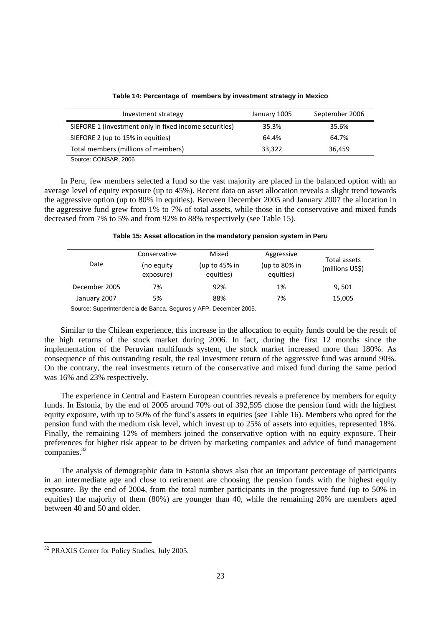| Investment strategy                                    | January 1005 | September 2006 |
|--------------------------------------------------------|--------------|----------------|
| SIEFORE 1 (investment only in fixed income securities) | 35.3%        | 35.6%          |
| SIEFORE 2 (up to 15% in equities)                      | 64.4%        | 64.7%          |
| Total members (millions of members)                    | 33,322       | 36.459         |
| Source: CONSAR, 2006                                   |              |                |

**Table 14: Percentage of members by investment strategy in Mexico** 

In Peru, few members selected a fund so the vast majority are placed in the balanced option with an average level of equity exposure (up to 45%). Recent data on asset allocation reveals a slight trend towards the aggressive option (up to 80% in equities). Between December 2005 and January 2007 the allocation in the aggressive fund grew from 1% to 7% of total assets, while those in the conservative and mixed funds decreased from 7% to 5% and from 92% to 88% respectively (see Table 15).

**Table 15: Asset allocation in the mandatory pension system in Peru**

| Date          | Conservative<br>(no equity<br>exposure) | Mixed<br>(up to 45% in<br>equities) | Aggressive<br>(up to $80\%$ in<br>equities) | Total assets<br>(millions US\$) |
|---------------|-----------------------------------------|-------------------------------------|---------------------------------------------|---------------------------------|
| December 2005 | 7%                                      | 92%                                 | 1%                                          | 9,501                           |
| January 2007  | 5%                                      | 88%                                 | 7%                                          | 15,005                          |

Source: Superintendencia de Banca, Seguros y AFP. December 2005.

Similar to the Chilean experience, this increase in the allocation to equity funds could be the result of the high returns of the stock market during 2006. In fact, during the first 12 months since the implementation of the Peruvian multifunds system, the stock market increased more than 180%. As consequence of this outstanding result, the real investment return of the aggressive fund was around 90%. On the contrary, the real investments return of the conservative and mixed fund during the same period was 16% and 23% respectively.

The experience in Central and Eastern European countries reveals a preference by members for equity funds. In Estonia, by the end of 2005 around 70% out of 392,595 chose the pension fund with the highest equity exposure, with up to 50% of the fund's assets in equities (see Table 16). Members who opted for the pension fund with the medium risk level, which invest up to 25% of assets into equities, represented 18%. Finally, the remaining 12% of members joined the conservative option with no equity exposure. Their preferences for higher risk appear to be driven by marketing companies and advice of fund management companies.<sup>32</sup>

The analysis of demographic data in Estonia shows also that an important percentage of participants in an intermediate age and close to retirement are choosing the pension funds with the highest equity exposure. By the end of 2004, from the total number participants in the progressive fund (up to 50% in equities) the majority of them (80%) are younger than 40, while the remaining 20% are members aged between 40 and 50 and older.

 $\overline{a}$ 

<sup>&</sup>lt;sup>32</sup> PRAXIS Center for Policy Studies, July 2005.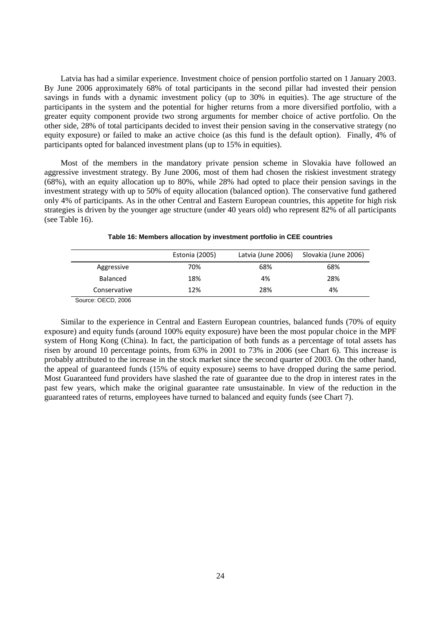Latvia has had a similar experience. Investment choice of pension portfolio started on 1 January 2003. By June 2006 approximately 68% of total participants in the second pillar had invested their pension savings in funds with a dynamic investment policy (up to 30% in equities). The age structure of the participants in the system and the potential for higher returns from a more diversified portfolio, with a greater equity component provide two strong arguments for member choice of active portfolio. On the other side, 28% of total participants decided to invest their pension saving in the conservative strategy (no equity exposure) or failed to make an active choice (as this fund is the default option). Finally, 4% of participants opted for balanced investment plans (up to 15% in equities).

Most of the members in the mandatory private pension scheme in Slovakia have followed an aggressive investment strategy. By June 2006, most of them had chosen the riskiest investment strategy (68%), with an equity allocation up to 80%, while 28% had opted to place their pension savings in the investment strategy with up to 50% of equity allocation (balanced option). The conservative fund gathered only 4% of participants. As in the other Central and Eastern European countries, this appetite for high risk strategies is driven by the younger age structure (under 40 years old) who represent 82% of all participants (see Table 16).

|              | <b>Estonia (2005)</b> | Latvia (June 2006) | Slovakia (June 2006) |
|--------------|-----------------------|--------------------|----------------------|
| Aggressive   | 70%                   | 68%                | 68%                  |
| Balanced     | 18%                   | 4%                 | 28%                  |
| Conservative | 12%                   | 28%                | 4%                   |

#### **Table 16: Members allocation by investment portfolio in CEE countries**

Source: OECD, 2006

Similar to the experience in Central and Eastern European countries, balanced funds (70% of equity exposure) and equity funds (around 100% equity exposure) have been the most popular choice in the MPF system of Hong Kong (China). In fact, the participation of both funds as a percentage of total assets has risen by around 10 percentage points, from 63% in 2001 to 73% in 2006 (see Chart 6). This increase is probably attributed to the increase in the stock market since the second quarter of 2003. On the other hand, the appeal of guaranteed funds (15% of equity exposure) seems to have dropped during the same period. Most Guaranteed fund providers have slashed the rate of guarantee due to the drop in interest rates in the past few years, which make the original guarantee rate unsustainable. In view of the reduction in the guaranteed rates of returns, employees have turned to balanced and equity funds (see Chart 7).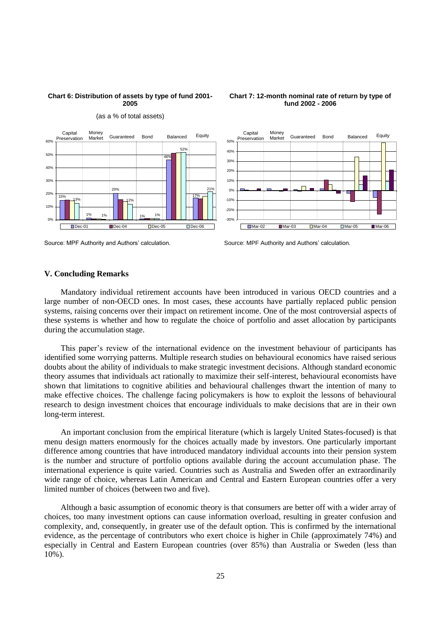#### **Chart 6: Distribution of assets by type of fund 2001- 2005**



#### (as a % of total assets)

#### **Chart 7: 12-month nominal rate of return by type of fund 2002 - 2006**



Source: MPF Authority and Authors' calculation. Source: MPF Authority and Authors' calculation.

#### **V. Concluding Remarks**

Mandatory individual retirement accounts have been introduced in various OECD countries and a large number of non-OECD ones. In most cases, these accounts have partially replaced public pension systems, raising concerns over their impact on retirement income. One of the most controversial aspects of these systems is whether and how to regulate the choice of portfolio and asset allocation by participants during the accumulation stage.

This paper's review of the international evidence on the investment behaviour of participants has identified some worrying patterns. Multiple research studies on behavioural economics have raised serious doubts about the ability of individuals to make strategic investment decisions. Although standard economic theory assumes that individuals act rationally to maximize their self-interest, behavioural economists have shown that limitations to cognitive abilities and behavioural challenges thwart the intention of many to make effective choices. The challenge facing policymakers is how to exploit the lessons of behavioural research to design investment choices that encourage individuals to make decisions that are in their own long-term interest.

An important conclusion from the empirical literature (which is largely United States-focused) is that menu design matters enormously for the choices actually made by investors. One particularly important difference among countries that have introduced mandatory individual accounts into their pension system is the number and structure of portfolio options available during the account accumulation phase. The international experience is quite varied. Countries such as Australia and Sweden offer an extraordinarily wide range of choice, whereas Latin American and Central and Eastern European countries offer a very limited number of choices (between two and five).

Although a basic assumption of economic theory is that consumers are better off with a wider array of choices, too many investment options can cause information overload, resulting in greater confusion and complexity, and, consequently, in greater use of the default option. This is confirmed by the international evidence, as the percentage of contributors who exert choice is higher in Chile (approximately 74%) and especially in Central and Eastern European countries (over 85%) than Australia or Sweden (less than 10%).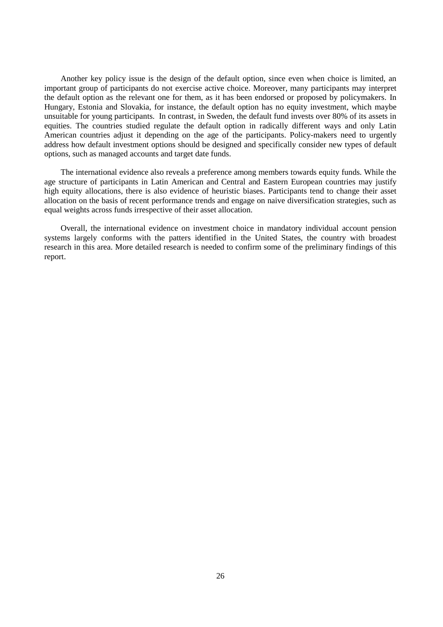Another key policy issue is the design of the default option, since even when choice is limited, an important group of participants do not exercise active choice. Moreover, many participants may interpret the default option as the relevant one for them, as it has been endorsed or proposed by policymakers. In Hungary, Estonia and Slovakia, for instance, the default option has no equity investment, which maybe unsuitable for young participants. In contrast, in Sweden, the default fund invests over 80% of its assets in equities. The countries studied regulate the default option in radically different ways and only Latin American countries adjust it depending on the age of the participants. Policy-makers need to urgently address how default investment options should be designed and specifically consider new types of default options, such as managed accounts and target date funds.

The international evidence also reveals a preference among members towards equity funds. While the age structure of participants in Latin American and Central and Eastern European countries may justify high equity allocations, there is also evidence of heuristic biases. Participants tend to change their asset allocation on the basis of recent performance trends and engage on naive diversification strategies, such as equal weights across funds irrespective of their asset allocation.

Overall, the international evidence on investment choice in mandatory individual account pension systems largely conforms with the patters identified in the United States, the country with broadest research in this area. More detailed research is needed to confirm some of the preliminary findings of this report.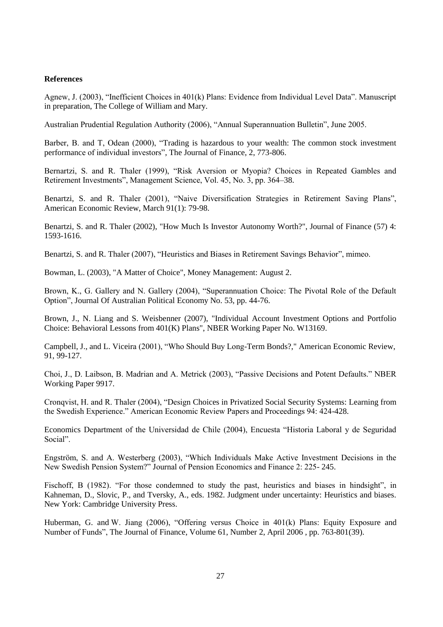# **References**

Agnew, J. (2003), "Inefficient Choices in 401(k) Plans: Evidence from Individual Level Data". Manuscript in preparation, The College of William and Mary.

Australian Prudential Regulation Authority (2006), "Annual Superannuation Bulletin", June 2005.

Barber, B. and T, Odean (2000), "Trading is hazardous to your wealth: The common stock investment performance of individual investors", The Journal of Finance, 2, 773-806.

Bernartzi, S. and R. Thaler (1999), "Risk Aversion or Myopia? Choices in Repeated Gambles and Retirement Investments", Management Science, Vol. 45, No. 3, pp. 364–38.

Benartzi, S. and R. Thaler (2001), "Naive Diversification Strategies in Retirement Saving Plans", American Economic Review, March 91(1): 79-98.

Benartzi, S. and R. Thaler (2002), "How Much Is Investor Autonomy Worth?", Journal of Finance (57) 4: 1593-1616.

Benartzi, S. and R. Thaler (2007), "Heuristics and Biases in Retirement Savings Behavior", mimeo.

Bowman, L. (2003), "A Matter of Choice", Money Management: August 2.

Brown, K., G. Gallery and N. Gallery (2004), "Superannuation Choice: The Pivotal Role of the Default Option‖, Journal Of Australian Political Economy No. 53, pp. 44-76.

Brown, J., N. Liang and S. Weisbenner (2007), "Individual Account Investment Options and Portfolio Choice: Behavioral Lessons from 401(K) Plans", NBER Working Paper No. W13169.

Campbell, J., and L. Viceira (2001), "Who Should Buy Long-Term Bonds?," American Economic Review, 91, 99-127.

Choi, J., D. Laibson, B. Madrian and A. Metrick (2003), "Passive Decisions and Potent Defaults." NBER Working Paper 9917.

Cronqvist, H. and R. Thaler (2004), "Design Choices in Privatized Social Security Systems: Learning from the Swedish Experience.‖ American Economic Review Papers and Proceedings 94: 424-428.

Economics Department of the Universidad de Chile (2004), Encuesta "Historia Laboral y de Seguridad Social".

Engström, S. and A. Westerberg (2003), "Which Individuals Make Active Investment Decisions in the New Swedish Pension System?" Journal of Pension Economics and Finance 2: 225- 245.

Fischoff, B (1982). "For those condemned to study the past, heuristics and biases in hindsight", in Kahneman, D., Slovic, P., and Tversky, A., eds. 1982. Judgment under uncertainty: Heuristics and biases. New York: Cambridge University Press.

Huberman, G. and W. Jiang (2006), "Offering versus Choice in 401(k) Plans: Equity Exposure and Number of Funds", [The Journal of Finance,](http://www.ingentaconnect.com/content/bpl/jofi;jsessionid=ce0hh0grcd60.henrietta) Volume 61, Number 2, April 2006, pp. 763-801(39).